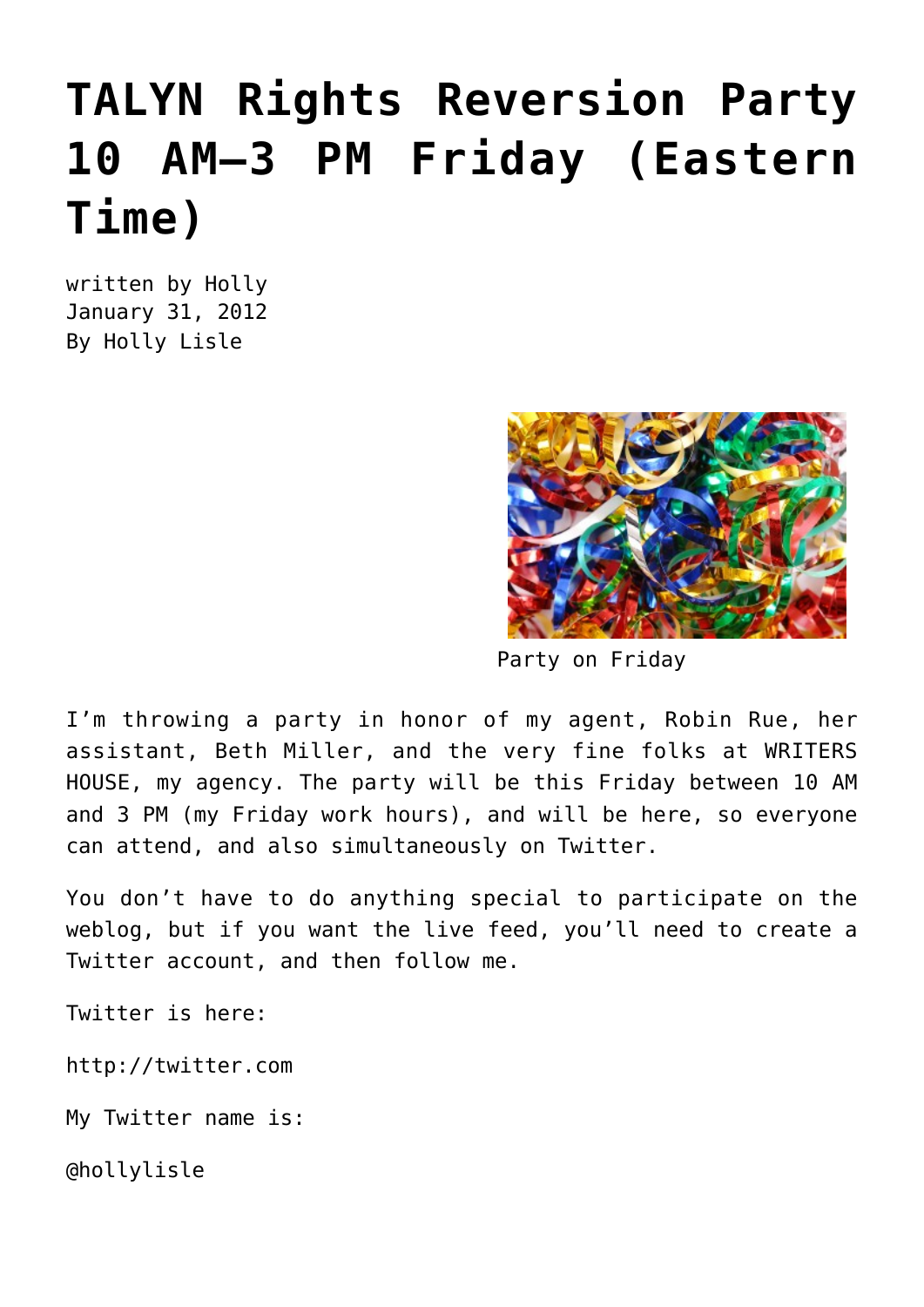## **[TALYN Rights Reversion Party](https://hollylisle.com/talyn-rights-reversion-party-10-am-3-pm-friday-eastern-time/) [10 AM–3 PM Friday \(Eastern](https://hollylisle.com/talyn-rights-reversion-party-10-am-3-pm-friday-eastern-time/) [Time\)](https://hollylisle.com/talyn-rights-reversion-party-10-am-3-pm-friday-eastern-time/)**

written by Holly January 31, 2012 [By Holly Lisle](https://hollylisle.com)



Party on Friday

I'm throwing a party in honor of my agent, Robin Rue, her assistant, Beth Miller, and the very fine folks at WRITERS HOUSE, my agency. The party will be this Friday between 10 AM and 3 PM (my Friday work hours), and will be here, so everyone can attend, and also simultaneously on Twitter.

You don't have to do anything special to participate on the weblog, but if you want the live feed, you'll need to create a Twitter account, and then follow me.

Twitter is here:

<http://twitter.com>

My Twitter name is:

@hollylisle